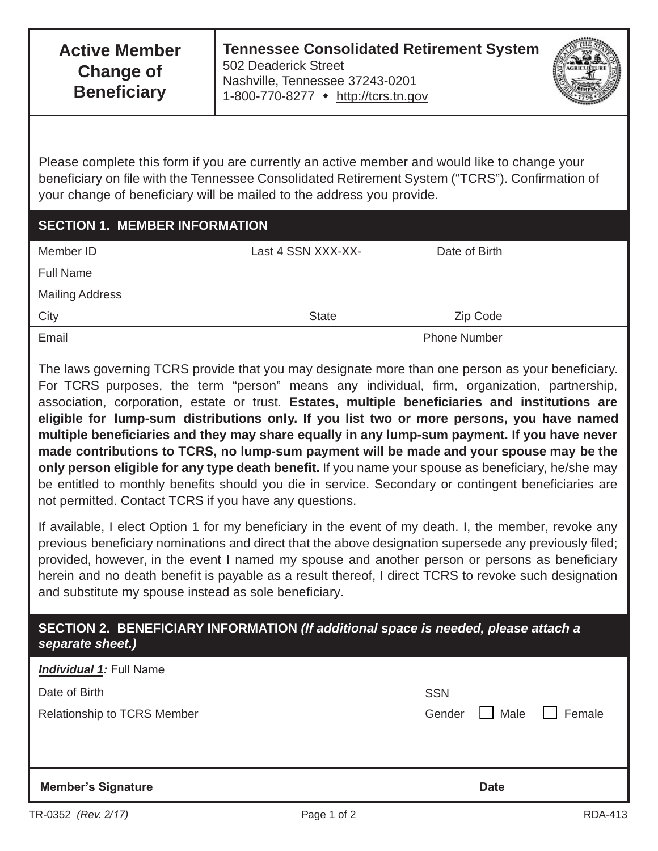Please complete this form if you are currently an active member and would like to change your beneficiary on file with the Tennessee Consolidated Retirement System ("TCRS"). Confirmation of your change of beneficiary will be mailed to the address you provide.

## **SECTION 1. MEMBER INFORMATION**

| Member ID              | Last 4 SSN XXX-XX-  | Date of Birth |
|------------------------|---------------------|---------------|
| <b>Full Name</b>       |                     |               |
| <b>Mailing Address</b> |                     |               |
| City                   | <b>State</b>        | Zip Code      |
| Email                  | <b>Phone Number</b> |               |
|                        |                     |               |

The laws governing TCRS provide that you may designate more than one person as your beneficiary. For TCRS purposes, the term "person" means any individual, firm, organization, partnership, association, corporation, estate or trust. **Estates, multiple beneficiaries and institutions are eligible for lump-sum distributions only. If you list two or more persons, you have named multiple beneficiaries and they may share equally in any lump-sum payment. If you have never made contributions to TCRS, no lump-sum payment will be made and your spouse may be the only person eligible for any type death benefit.** If you name your spouse as beneficiary, he/she may be entitled to monthly benefits should you die in service. Secondary or contingent beneficiaries are not permitted. Contact TCRS if you have any questions.

If available, I elect Option 1 for my beneficiary in the event of my death. I, the member, revoke any previous beneficiary nominations and direct that the above designation supersede any previously filed; provided, however, in the event I named my spouse and another person or persons as beneficiary herein and no death benefit is payable as a result thereof, I direct TCRS to revoke such designation and substitute my spouse instead as sole beneficiary.

## **SECTION 2. BENEFICIARY INFORMATION** *(If additional space is needed, please attach a separate sheet.)*

| <b>Individual 1: Full Name</b>     |                                 |
|------------------------------------|---------------------------------|
| Date of Birth                      | <b>SSN</b>                      |
| <b>Relationship to TCRS Member</b> | $\Box$ Male<br>Female<br>Gender |
|                                    |                                 |
|                                    |                                 |
| <b>Member's Signature</b>          | <b>Date</b>                     |
|                                    |                                 |